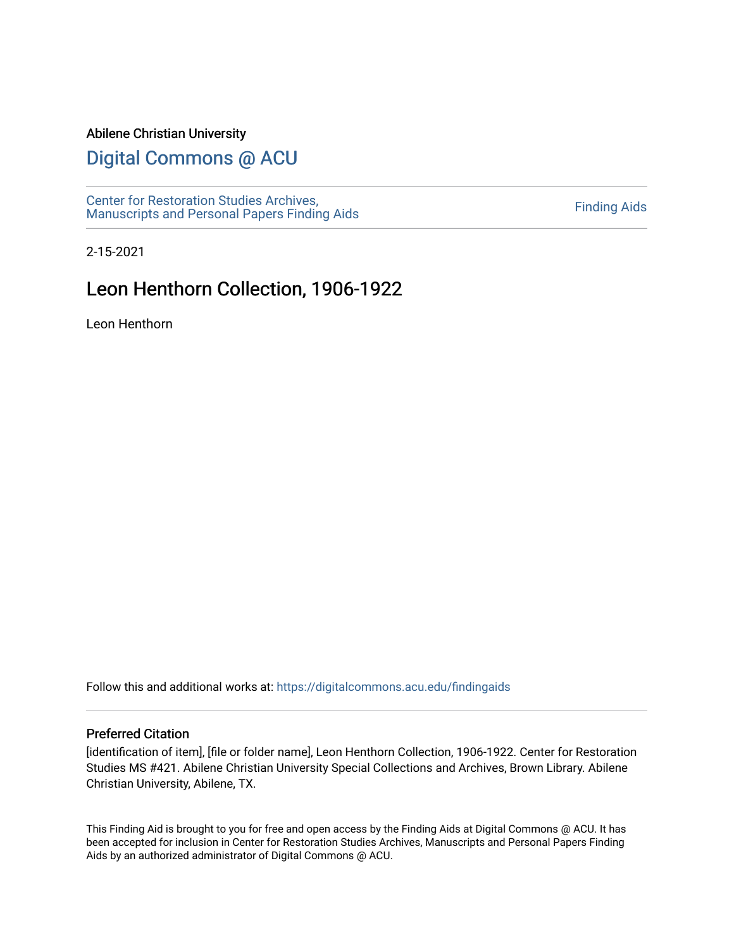#### Abilene Christian University

## [Digital Commons @ ACU](https://digitalcommons.acu.edu/)

[Center for Restoration Studies Archives,](https://digitalcommons.acu.edu/findingaids)  Center for Restoration Studies Archives,<br>[Manuscripts and Personal Papers Finding Aids](https://digitalcommons.acu.edu/findingaids) [Finding Aids](https://digitalcommons.acu.edu/crs_finding_aids) Finding Aids

2-15-2021

## Leon Henthorn Collection, 1906-1922

Leon Henthorn

Follow this and additional works at: [https://digitalcommons.acu.edu/findingaids](https://digitalcommons.acu.edu/findingaids?utm_source=digitalcommons.acu.edu%2Ffindingaids%2F706&utm_medium=PDF&utm_campaign=PDFCoverPages)

#### Preferred Citation

[identification of item], [file or folder name], Leon Henthorn Collection, 1906-1922. Center for Restoration Studies MS #421. Abilene Christian University Special Collections and Archives, Brown Library. Abilene Christian University, Abilene, TX.

This Finding Aid is brought to you for free and open access by the Finding Aids at Digital Commons @ ACU. It has been accepted for inclusion in Center for Restoration Studies Archives, Manuscripts and Personal Papers Finding Aids by an authorized administrator of Digital Commons @ ACU.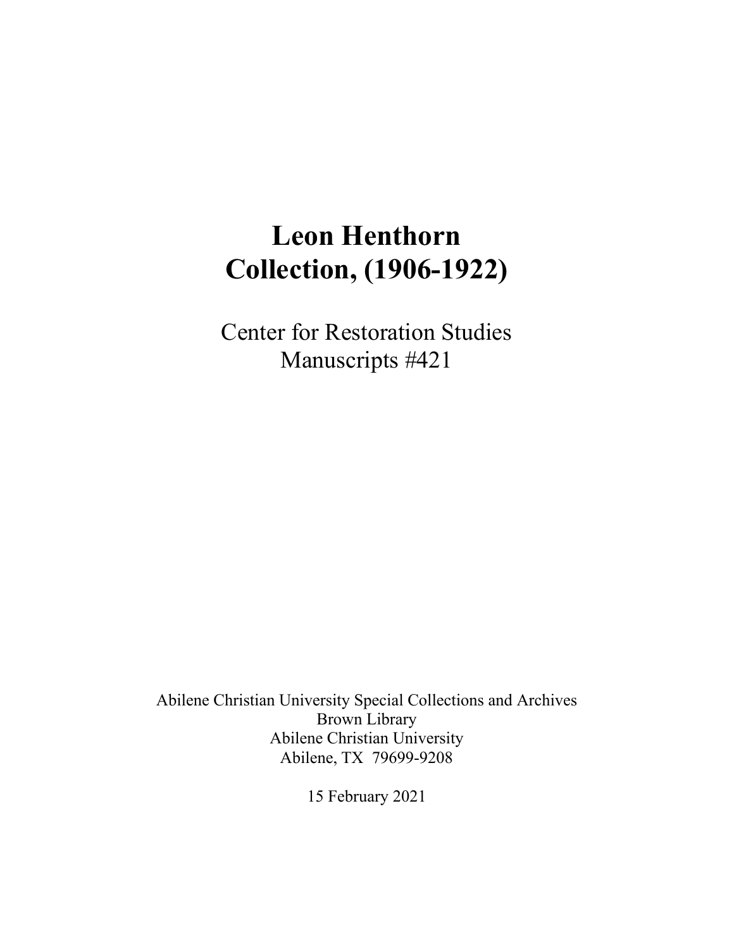# **Leon Henthorn Collection, (1906-1922)**

Center for Restoration Studies Manuscripts #421

Abilene Christian University Special Collections and Archives Brown Library Abilene Christian University Abilene, TX 79699-9208

15 February 2021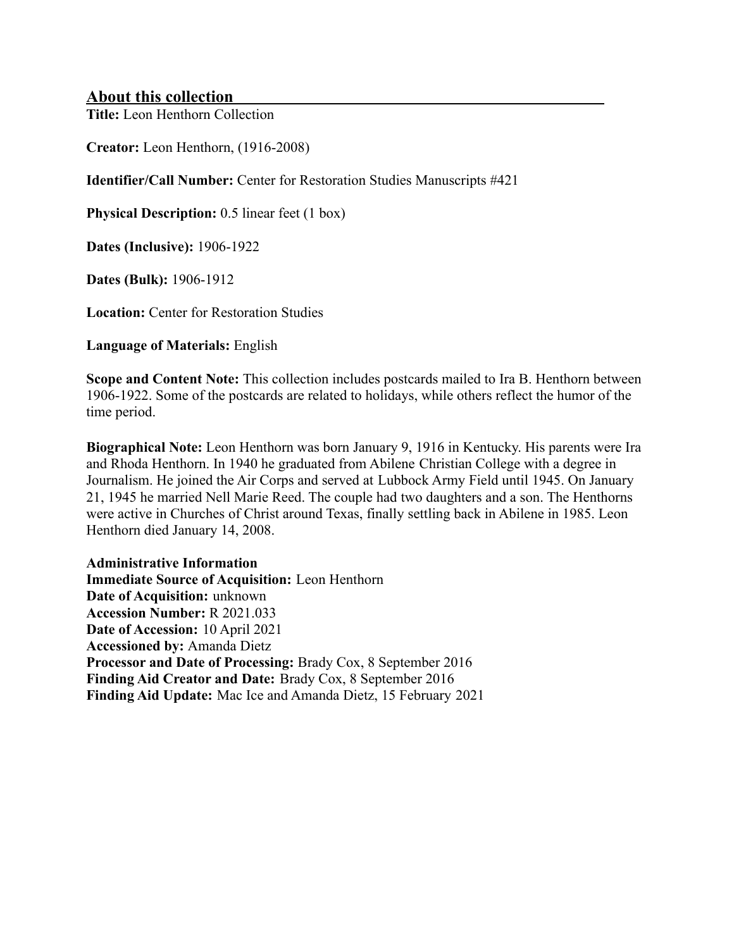#### **About this collection**

**Title:** Leon Henthorn Collection

**Creator:** Leon Henthorn, (1916-2008)

**Identifier/Call Number:** Center for Restoration Studies Manuscripts #421

**Physical Description:** 0.5 linear feet (1 box)

**Dates (Inclusive):** 1906-1922

**Dates (Bulk):** 1906-1912

**Location:** Center for Restoration Studies

**Language of Materials:** English

**Scope and Content Note:** This collection includes postcards mailed to Ira B. Henthorn between 1906-1922. Some of the postcards are related to holidays, while others reflect the humor of the time period.

**Biographical Note:** Leon Henthorn was born January 9, 1916 in Kentucky. His parents were Ira and Rhoda Henthorn. In 1940 he graduated from Abilene Christian College with a degree in Journalism. He joined the Air Corps and served at Lubbock Army Field until 1945. On January 21, 1945 he married Nell Marie Reed. The couple had two daughters and a son. The Henthorns were active in Churches of Christ around Texas, finally settling back in Abilene in 1985. Leon Henthorn died January 14, 2008.

**Administrative Information Immediate Source of Acquisition:** Leon Henthorn **Date of Acquisition:** unknown **Accession Number:** R 2021.033 **Date of Accession:** 10 April 2021 **Accessioned by:** Amanda Dietz **Processor and Date of Processing:** Brady Cox, 8 September 2016 **Finding Aid Creator and Date:** Brady Cox, 8 September 2016 **Finding Aid Update:** Mac Ice and Amanda Dietz, 15 February 2021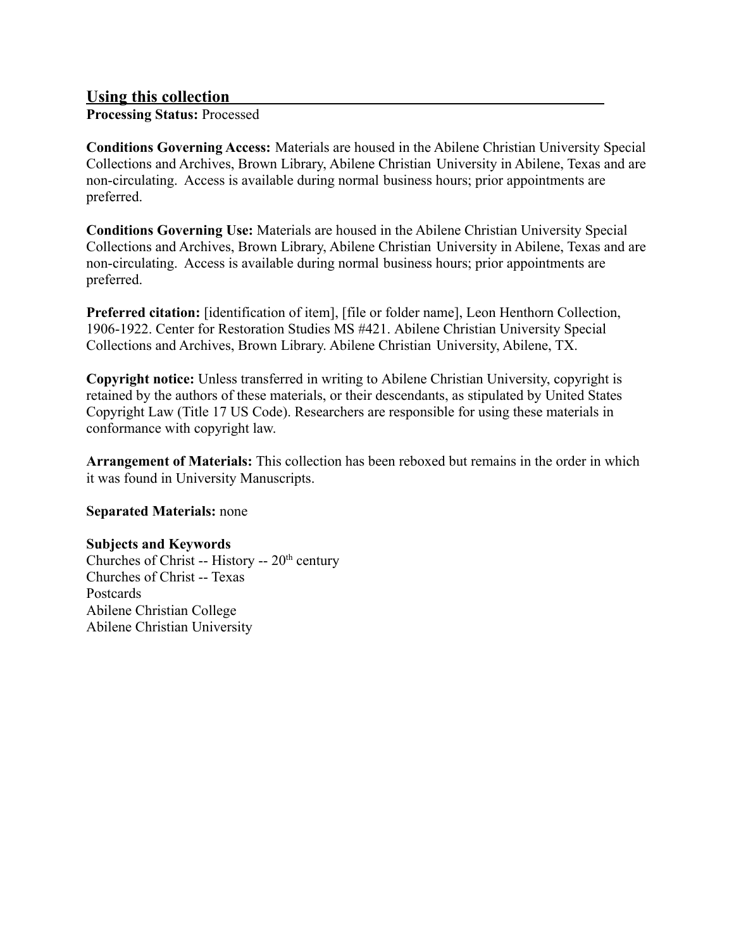#### **Using this collection**

**Processing Status:** Processed

**Conditions Governing Access:** Materials are housed in the Abilene Christian University Special Collections and Archives, Brown Library, Abilene Christian University in Abilene, Texas and are non-circulating. Access is available during normal business hours; prior appointments are preferred.

**Conditions Governing Use:** Materials are housed in the Abilene Christian University Special Collections and Archives, Brown Library, Abilene Christian University in Abilene, Texas and are non-circulating. Access is available during normal business hours; prior appointments are preferred.

**Preferred citation:** [identification of item], [file or folder name], Leon Henthorn Collection, 1906-1922. Center for Restoration Studies MS #421. Abilene Christian University Special Collections and Archives, Brown Library. Abilene Christian University, Abilene, TX.

**Copyright notice:** Unless transferred in writing to Abilene Christian University, copyright is retained by the authors of these materials, or their descendants, as stipulated by United States Copyright Law (Title 17 US Code). Researchers are responsible for using these materials in conformance with copyright law.

**Arrangement of Materials:** This collection has been reboxed but remains in the order in which it was found in University Manuscripts.

**Separated Materials:** none

#### **Subjects and Keywords**

Churches of Christ -- History --  $20<sup>th</sup>$  century Churches of Christ -- Texas Postcards Abilene Christian College Abilene Christian University